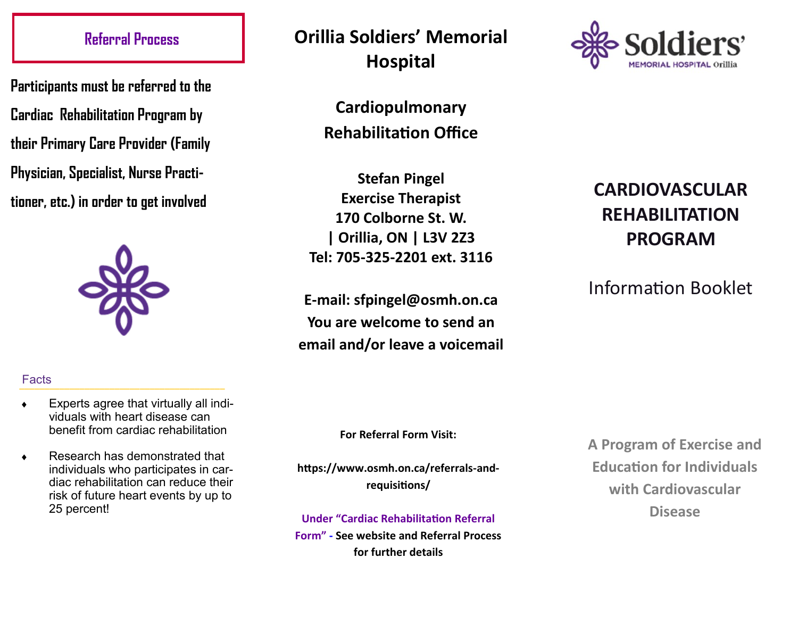## **Referral Process**

**Participants must be referred to the Cardiac Rehabilitation Program by their Primary Care Provider (Family Physician, Specialist, Nurse Practitioner, etc.) in order to get involved** 



## Facts **\_\_\_\_\_\_\_\_\_\_\_\_\_\_\_\_\_\_\_\_\_\_\_\_\_\_\_\_\_\_\_\_\_\_\_\_\_\_\_\_\_**

- Experts agree that virtually all individuals with heart disease can benefit from cardiac rehabilitation
- ◆ Research has demonstrated that individuals who participates in cardiac rehabilitation can reduce their risk of future heart events by up to 25 percent!

**Orillia Soldiers' Memorial Hospital** 

> **Cardiopulmonary Rehabilitation Office**

**Stefan Pingel Exercise Therapist 170 Colborne St. W. | Orillia, ON | L3V 2Z3 Tel: 705-325-2201 ext. 3116**

**E-mail: sfpingel@osmh.on.ca You are welcome to send an email and/or leave a voicemail** 



# **CARDIOVASCULAR REHABILITATION PROGRAM**

Information Booklet

**For Referral Form Visit:**

**https://www.osmh.on.ca/referrals-andrequisitions/**

**Under "Cardiac Rehabilitation Referral** 

**Form" - See website and Referral Process for further details**

**A Program of Exercise and Education for Individuals with Cardiovascular Disease**